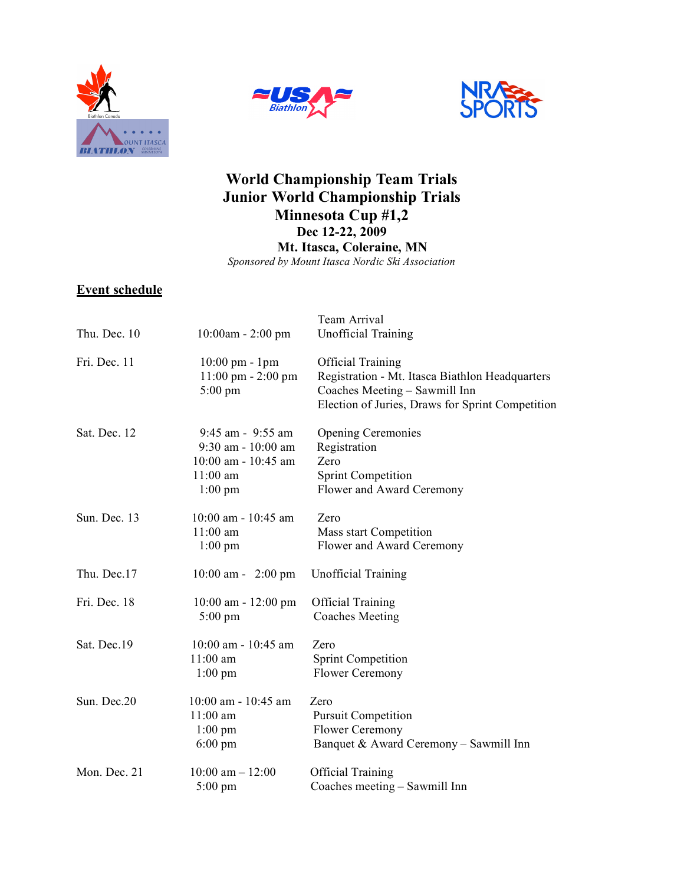





# **World Championship Team Trials Junior World Championship Trials Minnesota Cup #1,2 Dec 12-22, 2009 Mt. Itasca, Coleraine, MN** *Sponsored by Mount Itasca Nordic Ski Association*

## **Event schedule**

|              |                                      | Team Arrival                                     |
|--------------|--------------------------------------|--------------------------------------------------|
| Thu. Dec. 10 | $10:00$ am - 2:00 pm                 | <b>Unofficial Training</b>                       |
| Fri. Dec. 11 | $10:00 \text{ pm} - 1 \text{pm}$     | <b>Official Training</b>                         |
|              | $11:00 \text{ pm} - 2:00 \text{ pm}$ | Registration - Mt. Itasca Biathlon Headquarters  |
|              | $5:00 \text{ pm}$                    | Coaches Meeting - Sawmill Inn                    |
|              |                                      | Election of Juries, Draws for Sprint Competition |
| Sat Dec 12   | 9:45 am - 9:55 am                    | <b>Opening Ceremonies</b>                        |
|              | $9:30$ am - $10:00$ am               | Registration                                     |
|              | $10:00$ am - $10:45$ am              | Zero                                             |
|              | $11:00$ am                           | <b>Sprint Competition</b>                        |
|              | $1:00 \text{ pm}$                    | Flower and Award Ceremony                        |
| Sun. Dec. 13 | $10:00$ am - $10:45$ am              | Zero                                             |
|              | $11:00$ am                           | Mass start Competition                           |
|              | $1:00$ pm                            | Flower and Award Ceremony                        |
| Thu. Dec.17  | $10:00$ am - 2:00 pm                 | <b>Unofficial Training</b>                       |
| Fri. Dec. 18 | $10:00$ am - $12:00$ pm              | <b>Official Training</b>                         |
|              | $5:00 \text{ pm}$                    | <b>Coaches Meeting</b>                           |
| Sat. Dec.19  | 10:00 am - 10:45 am                  | Zero                                             |
|              | $11:00$ am                           | <b>Sprint Competition</b>                        |
|              | $1:00 \text{ pm}$                    | Flower Ceremony                                  |
| Sun. Dec.20  | $10:00$ am - $10:45$ am              | Zero                                             |
|              | $11:00$ am                           | <b>Pursuit Competition</b>                       |
|              | $1:00$ pm                            | Flower Ceremony                                  |
|              | $6:00 \text{ pm}$                    | Banquet & Award Ceremony - Sawmill Inn           |
| Mon. Dec. 21 | $10:00$ am $- 12:00$                 | <b>Official Training</b>                         |
|              | $5:00 \text{ pm}$                    | Coaches meeting – Sawmill Inn                    |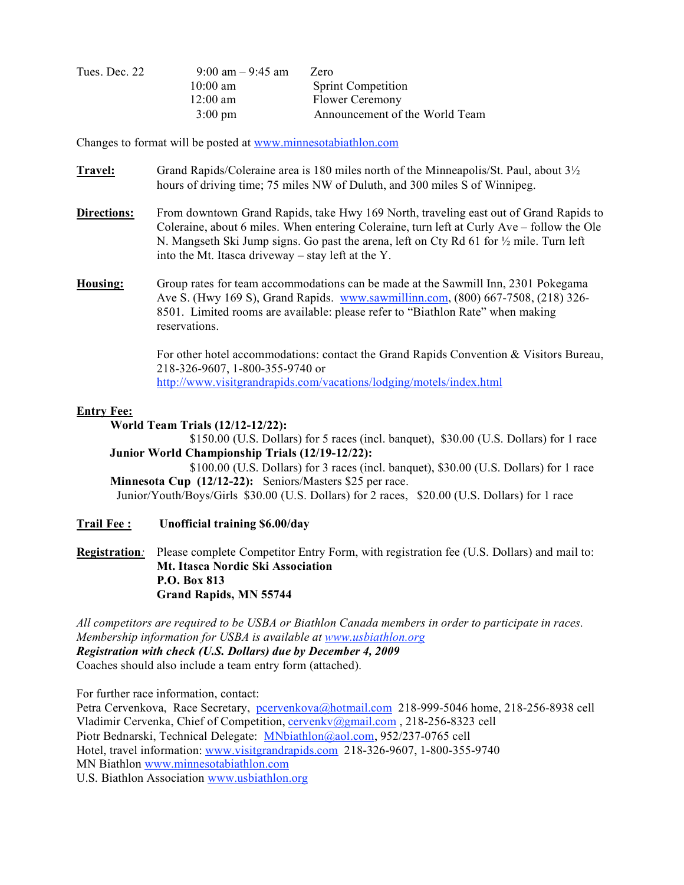| Tues. Dec. 22 | $9:00 \text{ am} - 9:45 \text{ am}$ | Zero                           |
|---------------|-------------------------------------|--------------------------------|
|               | $10:00 \text{ am}$                  | <b>Sprint Competition</b>      |
|               | $12:00 \text{ am}$                  | <b>Flower Ceremony</b>         |
|               | $3:00 \text{ pm}$                   | Announcement of the World Team |

Changes to format will be posted at www.minnesotabiathlon.com

- **Travel:** Grand Rapids/Coleraine area is 180 miles north of the Minneapolis/St. Paul, about 3½ hours of driving time; 75 miles NW of Duluth, and 300 miles S of Winnipeg.
- **Directions:** From downtown Grand Rapids, take Hwy 169 North, traveling east out of Grand Rapids to Coleraine, about 6 miles. When entering Coleraine, turn left at Curly Ave – follow the Ole N. Mangseth Ski Jump signs. Go past the arena, left on Cty Rd 61 for  $\frac{1}{2}$  mile. Turn left into the Mt. Itasca driveway – stay left at the Y.
- **Housing:** Group rates for team accommodations can be made at the Sawmill Inn, 2301 Pokegama Ave S. (Hwy 169 S), Grand Rapids. www.sawmillinn.com, (800) 667-7508, (218) 326- 8501. Limited rooms are available: please refer to "Biathlon Rate" when making reservations.

For other hotel accommodations: contact the Grand Rapids Convention & Visitors Bureau, 218-326-9607, 1-800-355-9740 or http://www.visitgrandrapids.com/vacations/lodging/motels/index.html

#### **Entry Fee:**

 **World Team Trials (12/12-12/22):**

\$150.00 (U.S. Dollars) for 5 races (incl. banquet), \$30.00 (U.S. Dollars) for 1 race  **Junior World Championship Trials (12/19-12/22):**

 \$100.00 (U.S. Dollars) for 3 races (incl. banquet), \$30.00 (U.S. Dollars) for 1 race  **Minnesota Cup (12/12-22):** Seniors/Masters \$25 per race. Junior/Youth/Boys/Girls \$30.00 (U.S. Dollars) for 2 races, \$20.00 (U.S. Dollars) for 1 race

### **Trail Fee : Unofficial training \$6.00/day**

**Registration***:* Please complete Competitor Entry Form, with registration fee (U.S. Dollars) and mail to: **Mt. Itasca Nordic Ski Association P.O. Box 813 Grand Rapids, MN 55744** 

*All competitors are required to be USBA or Biathlon Canada members in order to participate in races. Membership information for USBA is available at www.usbiathlon.org Registration with check (U.S. Dollars) due by December 4, 2009*  Coaches should also include a team entry form (attached).

For further race information, contact:

Petra Cervenkova, Race Secretary, pcervenkova@hotmail.com 218-999-5046 home, 218-256-8938 cell Vladimir Cervenka, Chief of Competition, cervenkv@gmail.com , 218-256-8323 cell Piotr Bednarski, Technical Delegate: MNbiathlon@aol.com, 952/237-0765 cell Hotel, travel information: www.visitgrandrapids.com 218-326-9607, 1-800-355-9740 MN Biathlon www.minnesotabiathlon.com U.S. Biathlon Association www.usbiathlon.org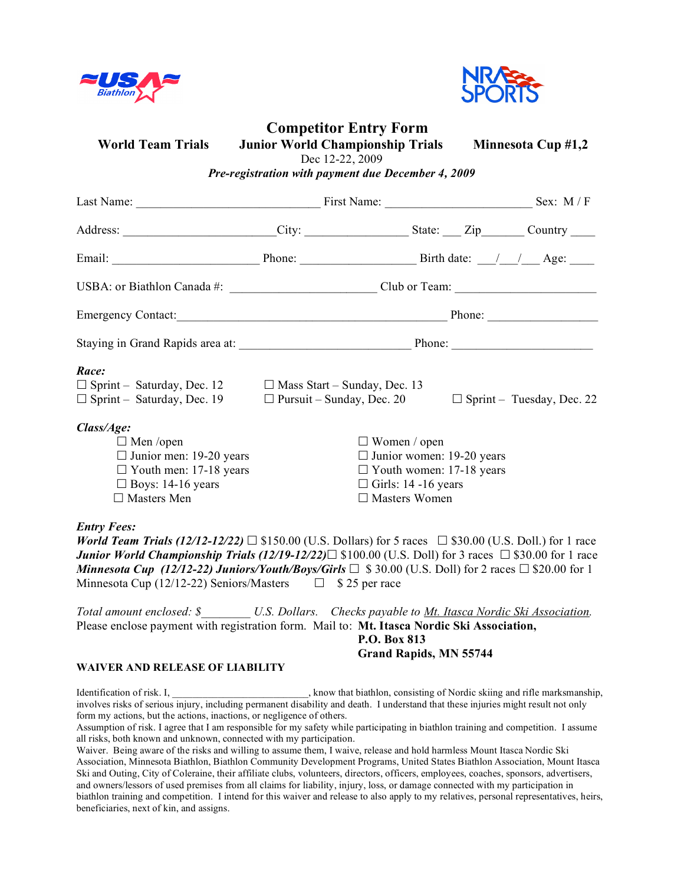



# **Competitor Entry Form**

**World Team Trials Junior World Championship Trials Minnesota Cup #1,2**

Dec 12-22, 2009

*Pre-registration with payment due December 4, 2009* 

| Last Name: Sex: M/F                                                                                                                                  |                                                                                                                                                  |                                                                                                                                                                                                                                                                                                                                                                      |  |
|------------------------------------------------------------------------------------------------------------------------------------------------------|--------------------------------------------------------------------------------------------------------------------------------------------------|----------------------------------------------------------------------------------------------------------------------------------------------------------------------------------------------------------------------------------------------------------------------------------------------------------------------------------------------------------------------|--|
|                                                                                                                                                      |                                                                                                                                                  | Address: _______________________City: ____________________State: ____Zip_______Country _____                                                                                                                                                                                                                                                                         |  |
|                                                                                                                                                      |                                                                                                                                                  |                                                                                                                                                                                                                                                                                                                                                                      |  |
|                                                                                                                                                      |                                                                                                                                                  |                                                                                                                                                                                                                                                                                                                                                                      |  |
|                                                                                                                                                      |                                                                                                                                                  |                                                                                                                                                                                                                                                                                                                                                                      |  |
|                                                                                                                                                      |                                                                                                                                                  |                                                                                                                                                                                                                                                                                                                                                                      |  |
| Race:<br>$\Box$ Sprint – Saturday, Dec. 12 $\Box$ Mass Start – Sunday, Dec. 13<br>$\Box$ Sprint – Saturday, Dec. 19 $\Box$ Pursuit – Sunday, Dec. 20 |                                                                                                                                                  | $\Box$ Sprint – Tuesday, Dec. 22                                                                                                                                                                                                                                                                                                                                     |  |
| Class/Age:<br>$\Box$ Men /open<br>$\Box$ Junior men: 19-20 years<br>$\Box$ Youth men: 17-18 years<br>$\Box$ Boys: 14-16 years<br>$\Box$ Masters Men  | $\Box$ Women / open<br>$\Box$ Junior women: 19-20 years<br>$\Box$ Youth women: 17-18 years<br>$\Box$ Girls: 14 -16 years<br>$\Box$ Masters Women |                                                                                                                                                                                                                                                                                                                                                                      |  |
| <b>Entry Fees:</b><br>Minnesota Cup (12/12-22) Seniors/Masters $\Box$ \$ 25 per race                                                                 |                                                                                                                                                  | <b>World Team Trials (12/12-12/22)</b> $\Box$ \$150.00 (U.S. Dollars) for 5 races $\Box$ \$30.00 (U.S. Doll.) for 1 race<br><b>Junior World Championship Trials (12/19-12/22)</b> $\Box$ \$100.00 (U.S. Doll) for 3 races $\Box$ \$30.00 for 1 race<br>Minnesota Cup (12/12-22) Juniors/Youth/Boys/Girls $\Box$ \$30.00 (U.S. Doll) for 2 races $\Box$ \$20.00 for 1 |  |
| Please enclose payment with registration form. Mail to: Mt. Itasca Nordic Ski Association,                                                           |                                                                                                                                                  | Total amount enclosed: \$ U.S. Dollars. Checks payable to Mt. Itasca Nordic Ski Association.                                                                                                                                                                                                                                                                         |  |

**P.O. Box 813 Grand Rapids, MN 55744**

#### **WAIVER AND RELEASE OF LIABILITY**

Identification of risk. I,  $\mu$ ,  $\mu$ ,  $\mu$ ,  $\mu$ ,  $\mu$ ,  $\mu$ ,  $\mu$ ,  $\mu$ ,  $\mu$ ,  $\mu$ ,  $\mu$ ,  $\mu$ ,  $\mu$ ,  $\mu$ ,  $\mu$ ,  $\mu$ ,  $\mu$ ,  $\mu$ ,  $\mu$ ,  $\mu$ ,  $\mu$ ,  $\mu$ ,  $\mu$ ,  $\mu$ ,  $\mu$ ,  $\mu$ ,  $\mu$ ,  $\mu$ ,  $\mu$ ,  $\mu$ ,  $\mu$ ,  $\mu$ ,  $\mu$ involves risks of serious injury, including permanent disability and death. I understand that these injuries might result not only form my actions, but the actions, inactions, or negligence of others.

Assumption of risk. I agree that I am responsible for my safety while participating in biathlon training and competition. I assume all risks, both known and unknown, connected with my participation.

Waiver. Being aware of the risks and willing to assume them, I waive, release and hold harmless Mount Itasca Nordic Ski Association, Minnesota Biathlon, Biathlon Community Development Programs, United States Biathlon Association, Mount Itasca Ski and Outing, City of Coleraine, their affiliate clubs, volunteers, directors, officers, employees, coaches, sponsors, advertisers, and owners/lessors of used premises from all claims for liability, injury, loss, or damage connected with my participation in biathlon training and competition. I intend for this waiver and release to also apply to my relatives, personal representatives, heirs, beneficiaries, next of kin, and assigns.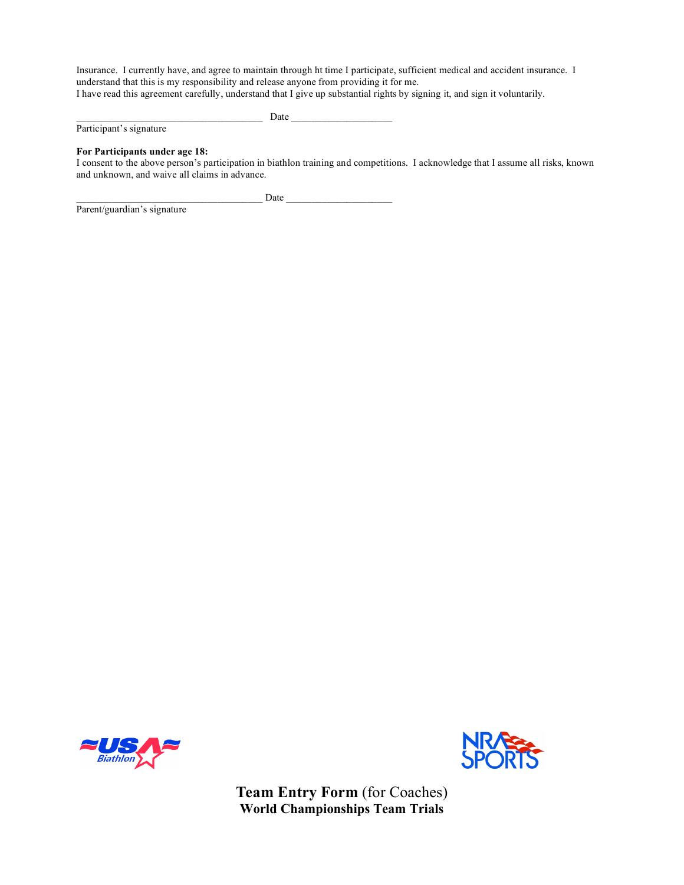Insurance. I currently have, and agree to maintain through ht time I participate, sufficient medical and accident insurance. I understand that this is my responsibility and release anyone from providing it for me. I have read this agreement carefully, understand that I give up substantial rights by signing it, and sign it voluntarily.

Participant's signature

\_\_\_\_\_\_\_\_\_\_\_\_\_\_\_\_\_\_\_\_\_\_\_\_\_\_\_\_\_\_\_\_\_\_\_\_\_ Date \_\_\_\_\_\_\_\_\_\_\_\_\_\_\_\_\_\_\_\_

#### **For Participants under age 18:**

Parent/guardian's signature

I consent to the above person's participation in biathlon training and competitions. I acknowledge that I assume all risks, known and unknown, and waive all claims in advance.

\_\_\_\_\_\_\_\_\_\_\_\_\_\_\_\_\_\_\_\_\_\_\_\_\_\_\_\_\_\_\_\_\_\_\_\_\_ Date \_\_\_\_\_\_\_\_\_\_\_\_\_\_\_\_\_\_\_\_\_





**Team Entry Form** (for Coaches) **World Championships Team Trials**